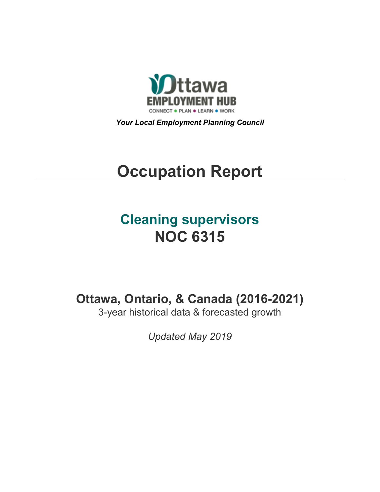

*Your Local Employment Planning Council*

# **Occupation Report**

# **Cleaning supervisors NOC 6315**

**Ottawa, Ontario, & Canada (2016-2021)**

3-year historical data & forecasted growth

*Updated May 2019*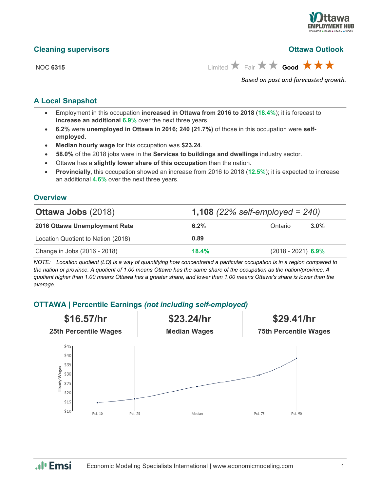

#### **Cleaning supervisors Ottawa Outlook**

NOC **6315** Limited  $\overrightarrow{A}$  Fair  $\overrightarrow{A}$  **Good** 

*Based on past and forecasted growth.*

## **A Local Snapshot**

- Employment in this occupation **increased in Ottawa from 2016 to 2018** (**18.4%**); it is forecast to **increase an additional 6.9%** over the next three years.
- **6.2%** were **unemployed in Ottawa in 2016; 240 (21.7%)** of those in this occupation were **selfemployed**.
- **Median hourly wage** for this occupation was **\$23.24**.
- **58.0%** of the 2018 jobs were in the **Services to buildings and dwellings** industry sector.
- Ottawa has a **slightly lower share of this occupation** than the nation.
- **Provincially**, this occupation showed an increase from 2016 to 2018 (**12.5%**); it is expected to increase an additional **4.6%** over the next three years.

#### **Overview**

| <b>Ottawa Jobs (2018)</b>          | <b>1,108</b> (22% self-employed = $240$ ) |                      |         |
|------------------------------------|-------------------------------------------|----------------------|---------|
| 2016 Ottawa Unemployment Rate      | 6.2%                                      | Ontario              | $3.0\%$ |
| Location Quotient to Nation (2018) | 0.89                                      |                      |         |
| Change in Jobs (2016 - 2018)       | 18.4%                                     | $(2018 - 2021)$ 6.9% |         |

*NOTE: Location quotient (LQ) is a way of quantifying how concentrated a particular occupation is in a region compared to the nation or province. A quotient of 1.00 means Ottawa has the same share of the occupation as the nation/province. A quotient higher than 1.00 means Ottawa has a greater share, and lower than 1.00 means Ottawa's share is lower than the average.*

# **OTTAWA | Percentile Earnings** *(not including self-employed)*



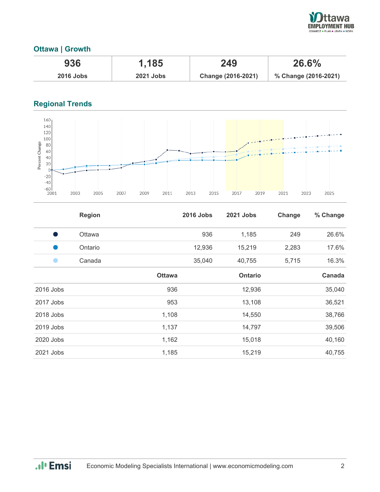

# **Ottawa | Growth**

| 936         | 1,185            | 249                | 26.6%                |  |
|-------------|------------------|--------------------|----------------------|--|
| $2016$ Jobs | <b>2021 Jobs</b> | Change (2016-2021) | % Change (2016-2021) |  |

# **Regional Trends**



|           | <b>Region</b> |               | <b>2016 Jobs</b> | <b>2021 Jobs</b> | Change | % Change |
|-----------|---------------|---------------|------------------|------------------|--------|----------|
| s,        | Ottawa        |               | 936              | 1,185            | 249    | 26.6%    |
|           | Ontario       |               | 12,936           | 15,219           | 2,283  | 17.6%    |
|           | Canada        |               | 35,040           | 40,755           | 5,715  | 16.3%    |
|           |               | <b>Ottawa</b> |                  | <b>Ontario</b>   |        | Canada   |
| 2016 Jobs |               | 936           |                  | 12,936           |        | 35,040   |
| 2017 Jobs |               | 953           |                  | 13,108           |        | 36,521   |
| 2018 Jobs |               | 1,108         |                  | 14,550           |        | 38,766   |
| 2019 Jobs |               | 1,137         |                  | 14,797           |        | 39,506   |
| 2020 Jobs |               | 1,162         |                  | 15,018           |        | 40,160   |
| 2021 Jobs |               | 1,185         |                  | 15,219           |        | 40,755   |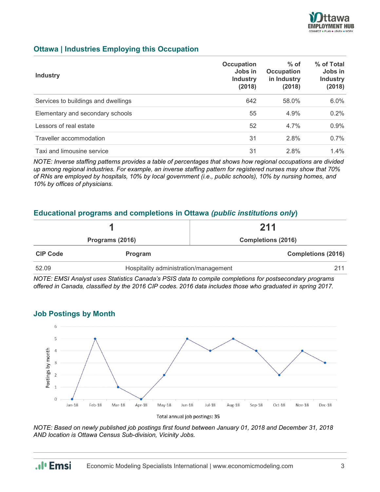

## **Ottawa | Industries Employing this Occupation**

| <b>Industry</b>                     | Occupation<br>Jobs in<br><b>Industry</b><br>(2018) | $%$ of<br>Occupation<br>in Industry<br>(2018) | % of Total<br>Jobs in<br><b>Industry</b><br>(2018) |
|-------------------------------------|----------------------------------------------------|-----------------------------------------------|----------------------------------------------------|
| Services to buildings and dwellings | 642                                                | 58.0%                                         | 6.0%                                               |
| Elementary and secondary schools    | 55                                                 | 4.9%                                          | 0.2%                                               |
| Lessors of real estate              | 52                                                 | 4.7%                                          | 0.9%                                               |
| Traveller accommodation             | 31                                                 | 2.8%                                          | 0.7%                                               |
| Taxi and limousine service          | 31                                                 | 2.8%                                          | $1.4\%$                                            |

*NOTE: Inverse staffing patterns provides a table of percentages that shows how regional occupations are divided up among regional industries. For example, an inverse staffing pattern for registered nurses may show that 70% of RNs are employed by hospitals, 10% by local government (i.e., public schools), 10% by nursing homes, and 10% by offices of physicians.*

#### **Educational programs and completions in Ottawa** *(public institutions only***)**

|                 |                                       | 211                       |  |
|-----------------|---------------------------------------|---------------------------|--|
| Programs (2016) |                                       | <b>Completions (2016)</b> |  |
| <b>CIP Code</b> | <b>Program</b>                        | <b>Completions (2016)</b> |  |
| 52.09           | Hospitality administration/management | 211                       |  |

*NOTE: EMSI Analyst uses Statistics Canada's PSIS data to compile completions for postsecondary programs offered in Canada, classified by the 2016 CIP codes. 2016 data includes those who graduated in spring 2017.*



**Job Postings by Month**

*NOTE: Based on newly published job postings first found between January 01, 2018 and December 31, 2018 AND location is Ottawa Census Sub-division, Vicinity Jobs.*